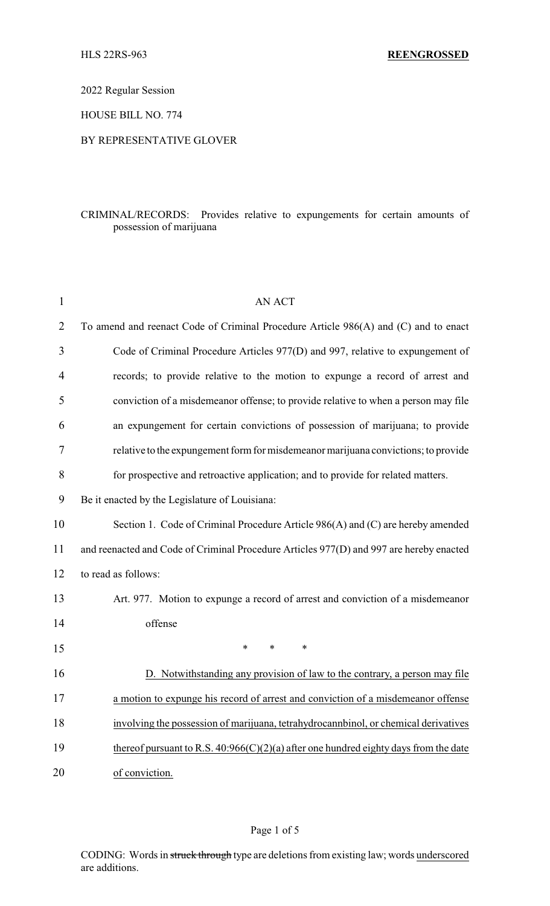2022 Regular Session

HOUSE BILL NO. 774

## BY REPRESENTATIVE GLOVER

## CRIMINAL/RECORDS: Provides relative to expungements for certain amounts of possession of marijuana

| $\mathbf{1}$   | <b>AN ACT</b>                                                                           |
|----------------|-----------------------------------------------------------------------------------------|
| $\overline{2}$ | To amend and reenact Code of Criminal Procedure Article 986(A) and (C) and to enact     |
| 3              | Code of Criminal Procedure Articles 977(D) and 997, relative to expungement of          |
| 4              | records; to provide relative to the motion to expunge a record of arrest and            |
| 5              | conviction of a misdemeanor offense; to provide relative to when a person may file      |
| 6              | an expungement for certain convictions of possession of marijuana; to provide           |
| 7              | relative to the expungement form for misdemeanor marijuana convictions; to provide      |
| 8              | for prospective and retroactive application; and to provide for related matters.        |
| 9              | Be it enacted by the Legislature of Louisiana:                                          |
| 10             | Section 1. Code of Criminal Procedure Article 986(A) and (C) are hereby amended         |
| 11             | and reenacted and Code of Criminal Procedure Articles 977(D) and 997 are hereby enacted |
| 12             | to read as follows:                                                                     |
| 13             | Art. 977. Motion to expunge a record of arrest and conviction of a misdemeanor          |
| 14             | offense                                                                                 |
| 15             | $\ast$<br>$\ast$<br>∗                                                                   |
| 16             | D. Notwithstanding any provision of law to the contrary, a person may file              |
| 17             | a motion to expunge his record of arrest and conviction of a misdemeanor offense        |
| 18             | involving the possession of marijuana, tetrahydrocannoinol, or chemical derivatives     |
| 19             | thereof pursuant to R.S. $40:966(C)(2)(a)$ after one hundred eighty days from the date  |
| 20             | of conviction.                                                                          |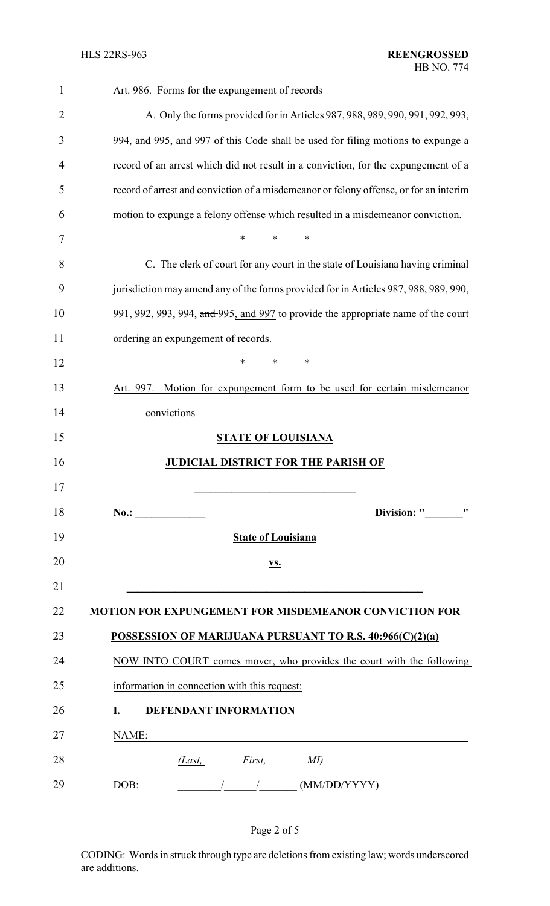| $\mathbf{1}$ | Art. 986. Forms for the expungement of records                                        |  |
|--------------|---------------------------------------------------------------------------------------|--|
| 2            | A. Only the forms provided for in Articles 987, 988, 989, 990, 991, 992, 993,         |  |
| 3            | 994, and 995, and 997 of this Code shall be used for filing motions to expunge a      |  |
| 4            | record of an arrest which did not result in a conviction, for the expungement of a    |  |
| 5            | record of arrest and conviction of a misdemeanor or felony offense, or for an interim |  |
| 6            | motion to expunge a felony offense which resulted in a misdemeanor conviction.        |  |
| 7            | $\ast$<br>*<br>∗                                                                      |  |
| 8            | C. The clerk of court for any court in the state of Louisiana having criminal         |  |
| 9            | jurisdiction may amend any of the forms provided for in Articles 987, 988, 989, 990,  |  |
| 10           | 991, 992, 993, 994, and 995, and 997 to provide the appropriate name of the court     |  |
| 11           | ordering an expungement of records.                                                   |  |
| 12           | *<br>∗<br>*                                                                           |  |
| 13           | Motion for expungement form to be used for certain misdemeanor<br>Art. 997.           |  |
| 14           | convictions                                                                           |  |
| 15           | <b>STATE OF LOUISIANA</b>                                                             |  |
| 16           | <b>JUDICIAL DISTRICT FOR THE PARISH OF</b>                                            |  |
| 17           |                                                                                       |  |
| 18           | 11<br>Division: "<br>No.:                                                             |  |
| 19           | <b>State of Louisiana</b>                                                             |  |
| 20           | VS.                                                                                   |  |
| 21           |                                                                                       |  |
| 22           | MOTION FOR EXPUNGEMENT FOR MISDEMEANOR CONVICTION FOR                                 |  |
| 23           | POSSESSION OF MARIJUANA PURSUANT TO R.S. 40:966(C)(2)(a)                              |  |
| 24           | NOW INTO COURT comes mover, who provides the court with the following                 |  |
| 25           | information in connection with this request:                                          |  |
| 26           | DEFENDANT INFORMATION<br><u>I.</u>                                                    |  |
| 27           | NAME:                                                                                 |  |
| 28           | (Last,<br>First,<br>MI)                                                               |  |
| 29           | DOB:<br>(MM/DD/YYYY)                                                                  |  |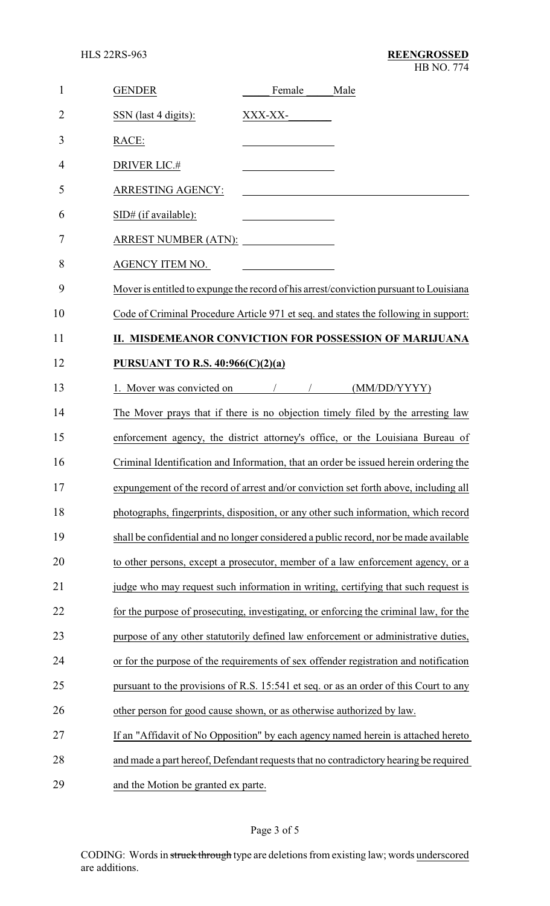| $\mathbf{1}$   | <b>GENDER</b><br>Female<br>Male                                                        |  |  |  |
|----------------|----------------------------------------------------------------------------------------|--|--|--|
| $\overline{2}$ | SSN (last 4 digits):<br>XXX-XX-                                                        |  |  |  |
| 3              | RACE:                                                                                  |  |  |  |
| 4              | <b>DRIVER LIC.#</b>                                                                    |  |  |  |
| 5              | ARRESTING AGENCY:<br><u> 1989 - Johann Barbara, martxa alemaniar a</u>                 |  |  |  |
| 6              | SID# (if available):<br><u> 1980 - Johann Barbara, martin a</u>                        |  |  |  |
| 7              | ARREST NUMBER (ATN):                                                                   |  |  |  |
| 8              | AGENCY ITEM NO.                                                                        |  |  |  |
| 9              | Mover is entitled to expunge the record of his arrest/conviction pursuant to Louisiana |  |  |  |
| 10             | Code of Criminal Procedure Article 971 et seq. and states the following in support:    |  |  |  |
| 11             | II. MISDEMEANOR CONVICTION FOR POSSESSION OF MARIJUANA                                 |  |  |  |
| 12             | PURSUANT TO R.S. 40:966(C)(2)(a)                                                       |  |  |  |
| 13             | 1. Mover was convicted on<br>(MM/DD/YYYY)                                              |  |  |  |
| 14             | The Mover prays that if there is no objection timely filed by the arresting law        |  |  |  |
| 15             | enforcement agency, the district attorney's office, or the Louisiana Bureau of         |  |  |  |
| 16             | Criminal Identification and Information, that an order be issued herein ordering the   |  |  |  |
| 17             | expungement of the record of arrest and/or conviction set forth above, including all   |  |  |  |
| 18             | photographs, fingerprints, disposition, or any other such information, which record    |  |  |  |
| 19             | shall be confidential and no longer considered a public record, nor be made available  |  |  |  |
| 20             | to other persons, except a prosecutor, member of a law enforcement agency, or a        |  |  |  |
| 21             | judge who may request such information in writing, certifying that such request is     |  |  |  |
| 22             | for the purpose of prosecuting, investigating, or enforcing the criminal law, for the  |  |  |  |
| 23             | purpose of any other statutorily defined law enforcement or administrative duties,     |  |  |  |
| 24             | or for the purpose of the requirements of sex offender registration and notification   |  |  |  |
| 25             | pursuant to the provisions of R.S. 15:541 et seq. or as an order of this Court to any  |  |  |  |
| 26             | other person for good cause shown, or as otherwise authorized by law.                  |  |  |  |
| 27             | If an "Affidavit of No Opposition" by each agency named herein is attached hereto      |  |  |  |
| 28             | and made a part hereof, Defendant requests that no contradictory hearing be required   |  |  |  |
| 29             | and the Motion be granted ex parte.                                                    |  |  |  |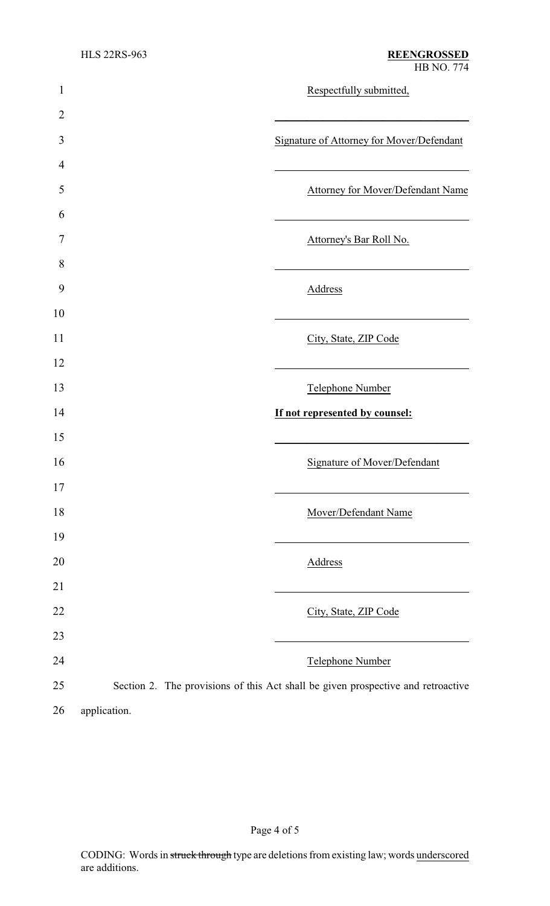| 1              | Respectfully submitted,                                                          |
|----------------|----------------------------------------------------------------------------------|
| $\overline{2}$ |                                                                                  |
| 3              | <b>Signature of Attorney for Mover/Defendant</b>                                 |
| 4              |                                                                                  |
| 5              | <b>Attorney for Mover/Defendant Name</b>                                         |
| 6              |                                                                                  |
| 7              | Attorney's Bar Roll No.                                                          |
| 8              |                                                                                  |
| 9              | Address                                                                          |
| 10             |                                                                                  |
| 11             | City, State, ZIP Code                                                            |
| 12             |                                                                                  |
| 13             | Telephone Number                                                                 |
| 14             | If not represented by counsel:                                                   |
| 15             |                                                                                  |
| 16             | <b>Signature of Mover/Defendant</b>                                              |
| 17             |                                                                                  |
| 18             | Mover/Defendant Name                                                             |
| 19             |                                                                                  |
| 20             | Address                                                                          |
| 21             |                                                                                  |
| 22             | City, State, ZIP Code                                                            |
| 23             |                                                                                  |
| 24             | Telephone Number                                                                 |
| 25             | Section 2. The provisions of this Act shall be given prospective and retroactive |
| 26             | application.                                                                     |